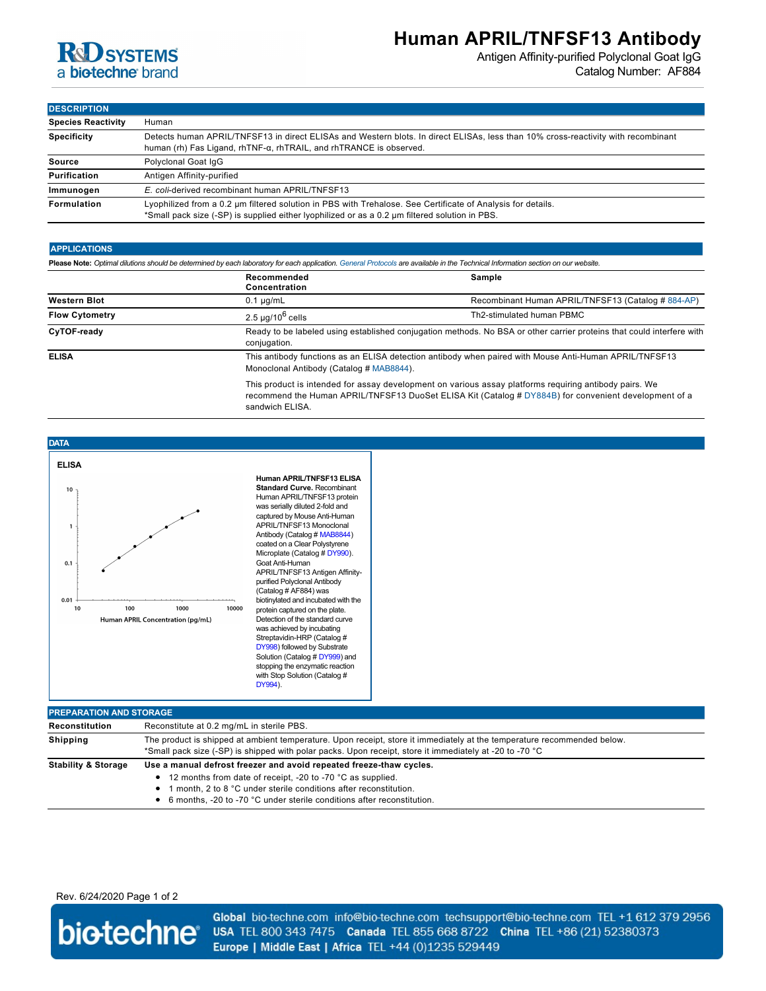

## **Human APRIL/TNFSF13 Antibody**

Antigen Affinity-purified Polyclonal Goat IgG Catalog Number: AF884

**DESCRIPTION**

| <b>Species Reactivity</b> | Human                                                                                                                                                                                                            |  |
|---------------------------|------------------------------------------------------------------------------------------------------------------------------------------------------------------------------------------------------------------|--|
| <b>Specificity</b>        | Detects human APRIL/TNFSF13 in direct ELISAs and Western blots. In direct ELISAs, less than 10% cross-reactivity with recombinant<br>human (rh) Fas Ligand, rhTNF- $\alpha$ , rhTRAIL, and rhTRANCE is observed. |  |
| Source                    | Polyclonal Goat IgG                                                                                                                                                                                              |  |
| Purification              | Antigen Affinity-purified                                                                                                                                                                                        |  |
| Immunogen                 | E. coli-derived recombinant human APRIL/TNFSF13                                                                                                                                                                  |  |
| Formulation               | Lyophilized from a 0.2 um filtered solution in PBS with Trehalose. See Certificate of Analysis for details.<br>*Small pack size (-SP) is supplied either lyophilized or as a 0.2 µm filtered solution in PBS.    |  |

### **APPLICATIONS**

**Please Note:** *Optimal dilutions should be determined by each laboratory for each application. [General Protocols](http://www.rndsystems.com/resources/protocols-troubleshooting-guides) are available in the Technical Information section on our website.*

sandwich ELISA.

|                       | Recommended<br>Concentration                                                                                                                                                                                    | Sample                                             |
|-----------------------|-----------------------------------------------------------------------------------------------------------------------------------------------------------------------------------------------------------------|----------------------------------------------------|
| <b>Western Blot</b>   | $0.1 \mu q/mL$                                                                                                                                                                                                  | Recombinant Human APRIL/TNFSF13 (Catalog # 884-AP) |
| <b>Flow Cytometry</b> | $2.5 \mu q/10^6$ cells                                                                                                                                                                                          | Th2-stimulated human PBMC                          |
| CyTOF-ready           | Ready to be labeled using established conjugation methods. No BSA or other carrier proteins that could interfere with<br>conjugation.                                                                           |                                                    |
| <b>ELISA</b>          | This antibody functions as an ELISA detection antibody when paired with Mouse Anti-Human APRIL/TNFSF13<br>Monoclonal Antibody (Catalog # MAB8844).                                                              |                                                    |
|                       | This product is intended for assay development on various assay platforms requiring antibody pairs. We<br>recommend the Human APRIL/TNFSF13 DuoSet ELISA Kit (Catalog # DY884B) for convenient development of a |                                                    |



| <b>PREPARATION AND STORAGE</b> |                                                                                                                                                                                                                                                                                         |  |  |
|--------------------------------|-----------------------------------------------------------------------------------------------------------------------------------------------------------------------------------------------------------------------------------------------------------------------------------------|--|--|
| Reconstitution                 | Reconstitute at 0.2 mg/mL in sterile PBS.                                                                                                                                                                                                                                               |  |  |
| <b>Shipping</b>                | The product is shipped at ambient temperature. Upon receipt, store it immediately at the temperature recommended below.<br>*Small pack size (-SP) is shipped with polar packs. Upon receipt, store it immediately at -20 to -70 °C                                                      |  |  |
| <b>Stability &amp; Storage</b> | Use a manual defrost freezer and avoid repeated freeze-thaw cycles.<br>• 12 months from date of receipt, -20 to -70 °C as supplied.<br>month. 2 to 8 °C under sterile conditions after reconstitution.<br>٠<br>• 6 months, -20 to -70 °C under sterile conditions after reconstitution. |  |  |

Rev. 6/24/2020 Page 1 of 2

biotechne®

Global bio-techne.com info@bio-techne.com techsupport@bio-techne.com TEL +1 612 379 2956 USA TEL 800 343 7475 Canada TEL 855 668 8722 China TEL +86 (21) 52380373 Europe | Middle East | Africa TEL +44 (0)1235 529449